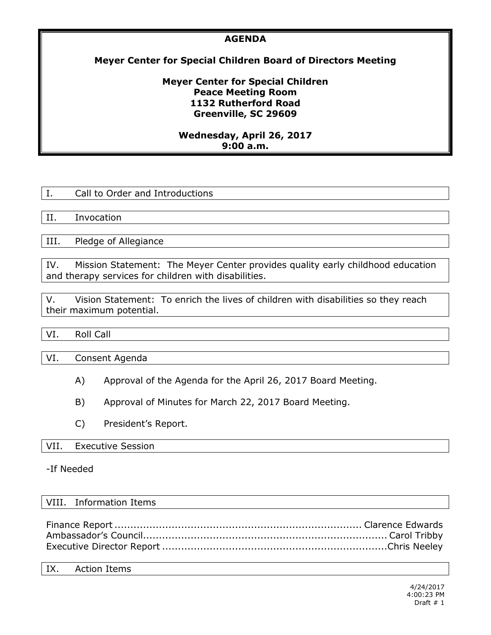### **AGENDA**

## **Meyer Center for Special Children Board of Directors Meeting**

### **Meyer Center for Special Children Peace Meeting Room 1132 Rutherford Road Greenville, SC 29609**

### **Wednesday, April 26, 2017 9:00 a.m.**

II. Invocation

III. Pledge of Allegiance

IV. Mission Statement: The Meyer Center provides quality early childhood education and therapy services for children with disabilities.

V. Vision Statement: To enrich the lives of children with disabilities so they reach their maximum potential.

VI. Roll Call

VI. Consent Agenda

- A) Approval of the Agenda for the April 26, 2017 Board Meeting.
- B) Approval of Minutes for March 22, 2017 Board Meeting.
- C) President's Report.

#### VII. Executive Session

#### -If Needed

#### VIII. Information Items

#### IX. Action Items